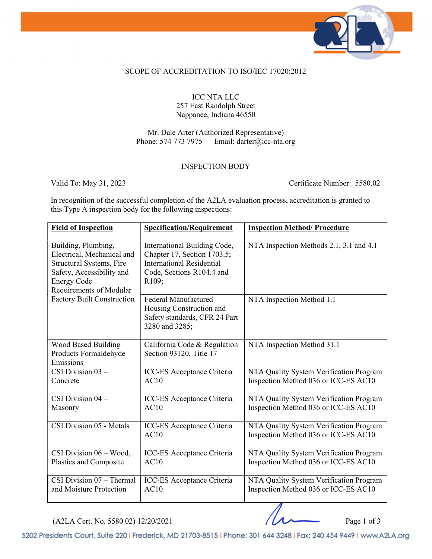

## SCOPE OF ACCREDITATION TO ISO/IEC 17020:2012

ICC NTA LLC 257 East Randolph Street Nappanee, Indiana 46550

Mr. Dale Arter (Authorized Representative) Phone: 574 773 7975 Email: darter@icc-nta.org

## INSPECTION BODY

Valid To: May 31, 2023 Certificate Number: 5580.02

In recognition of the successful completion of the A2LA evaluation process, accreditation is granted to this Type A inspection body for the following inspections:

| <b>Field of Inspection</b>                                                                                                                                                                       | <b>Specification/Requirement</b>                                                                                                      | <b>Inspection Method/ Procedure</b>                                             |
|--------------------------------------------------------------------------------------------------------------------------------------------------------------------------------------------------|---------------------------------------------------------------------------------------------------------------------------------------|---------------------------------------------------------------------------------|
| Building, Plumbing,<br>Electrical, Mechanical and<br>Structural Systems, Fire<br>Safety, Accessibility and<br><b>Energy Code</b><br>Requirements of Modular<br><b>Factory Built Construction</b> | International Building Code,<br>Chapter 17, Section 1703.5;<br><b>International Residential</b><br>Code, Sections R104.4 and<br>R109; | NTA Inspection Methods 2.1, 3.1 and 4.1                                         |
|                                                                                                                                                                                                  | <b>Federal Manufactured</b><br>Housing Construction and<br>Safety standards, CFR 24 Part<br>3280 and 3285;                            | NTA Inspection Method 1.1                                                       |
| Wood Based Building<br>Products Formaldehyde<br>Emissions                                                                                                                                        | California Code & Regulation<br>Section 93120, Title 17                                                                               | NTA Inspection Method 31.1                                                      |
| CSI Division $03 -$<br>Concrete                                                                                                                                                                  | ICC-ES Acceptance Criteria<br>AC10                                                                                                    | NTA Quality System Verification Program<br>Inspection Method 036 or ICC-ES AC10 |
| CSI Division $\overline{04}$ –<br>Masonry                                                                                                                                                        | ICC-ES Acceptance Criteria<br>AC10                                                                                                    | NTA Quality System Verification Program<br>Inspection Method 036 or ICC-ES AC10 |
| CSI Division 05 - Metals                                                                                                                                                                         | ICC-ES Acceptance Criteria<br>AC10                                                                                                    | NTA Quality System Verification Program<br>Inspection Method 036 or ICC-ES AC10 |
| CSI Division 06 - Wood,<br>Plastics and Composite                                                                                                                                                | ICC-ES Acceptance Criteria<br>AC10                                                                                                    | NTA Quality System Verification Program<br>Inspection Method 036 or ICC-ES AC10 |
| $\overline{\text{CSI}}$ Division 07 – Thermal<br>and Moisture Protection                                                                                                                         | ICC-ES Acceptance Criteria<br>AC10                                                                                                    | NTA Quality System Verification Program<br>Inspection Method 036 or ICC-ES AC10 |

 $(A2LA$  Cert. No. 5580.02) 12/20/2021 Page 1 of 3

5202 Presidents Court, Suite 220 | Frederick, MD 21703-8515 | Phone: 301 644 3248 | Fax: 240 454 9449 | www.A2LA.org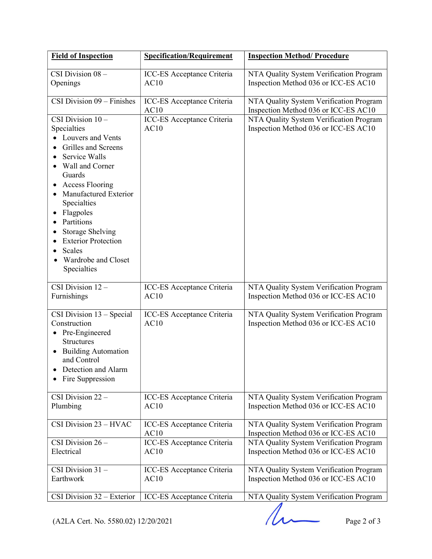| <b>Field of Inspection</b>                                                                                                                                                                                                                                                                                                         | <b>Specification/Requirement</b>   | <b>Inspection Method/ Procedure</b>                                             |
|------------------------------------------------------------------------------------------------------------------------------------------------------------------------------------------------------------------------------------------------------------------------------------------------------------------------------------|------------------------------------|---------------------------------------------------------------------------------|
| CSI Division 08 -<br>Openings                                                                                                                                                                                                                                                                                                      | ICC-ES Acceptance Criteria<br>AC10 | NTA Quality System Verification Program<br>Inspection Method 036 or ICC-ES AC10 |
| CSI Division $09$ – Finishes                                                                                                                                                                                                                                                                                                       | ICC-ES Acceptance Criteria<br>AC10 | NTA Quality System Verification Program<br>Inspection Method 036 or ICC-ES AC10 |
| CSI Division $10 -$<br>Specialties<br>Louvers and Vents<br>Grilles and Screens<br>Service Walls<br>Wall and Corner<br>Guards<br><b>Access Flooring</b><br>Manufactured Exterior<br>Specialties<br>Flagpoles<br>Partitions<br><b>Storage Shelving</b><br><b>Exterior Protection</b><br>Scales<br>Wardrobe and Closet<br>Specialties | ICC-ES Acceptance Criteria<br>AC10 | NTA Quality System Verification Program<br>Inspection Method 036 or ICC-ES AC10 |
| CSI Division $12 -$<br>Furnishings                                                                                                                                                                                                                                                                                                 | ICC-ES Acceptance Criteria<br>AC10 | NTA Quality System Verification Program<br>Inspection Method 036 or ICC-ES AC10 |
| CSI Division $13 - Special$<br>Construction<br>• Pre-Engineered<br><b>Structures</b><br><b>Building Automation</b><br>and Control<br>Detection and Alarm<br>Fire Suppression                                                                                                                                                       | ICC-ES Acceptance Criteria<br>AC10 | NTA Quality System Verification Program<br>Inspection Method 036 or ICC-ES AC10 |
| CSI Division $22 -$<br>Plumbing                                                                                                                                                                                                                                                                                                    | ICC-ES Acceptance Criteria<br>AC10 | NTA Quality System Verification Program<br>Inspection Method 036 or ICC-ES AC10 |
| CSI Division 23 - HVAC                                                                                                                                                                                                                                                                                                             | ICC-ES Acceptance Criteria<br>AC10 | NTA Quality System Verification Program<br>Inspection Method 036 or ICC-ES AC10 |
| CSI Division $26 -$<br>Electrical                                                                                                                                                                                                                                                                                                  | ICC-ES Acceptance Criteria<br>AC10 | NTA Quality System Verification Program<br>Inspection Method 036 or ICC-ES AC10 |
| CSI Division $31 -$<br>Earthwork                                                                                                                                                                                                                                                                                                   | ICC-ES Acceptance Criteria<br>AC10 | NTA Quality System Verification Program<br>Inspection Method 036 or ICC-ES AC10 |
| CSI Division 32 - Exterior                                                                                                                                                                                                                                                                                                         | ICC-ES Acceptance Criteria         | NTA Quality System Verification Program                                         |

Company System Vermeation 1 rogram<br>Page 2 of 3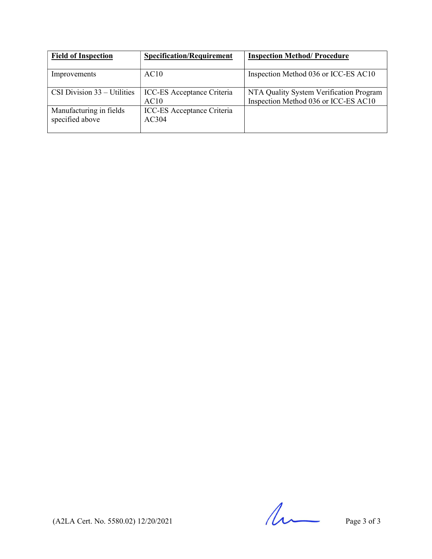| <b>Field of Inspection</b>                 | <b>Specification/Requirement</b>          | <b>Inspection Method/Procedure</b>                                              |
|--------------------------------------------|-------------------------------------------|---------------------------------------------------------------------------------|
| Improvements                               | AC10                                      | Inspection Method 036 or ICC-ES AC10                                            |
| CSI Division $33 -$ Utilities              | <b>ICC-ES</b> Acceptance Criteria<br>AC10 | NTA Quality System Verification Program<br>Inspection Method 036 or ICC-ES AC10 |
| Manufacturing in fields<br>specified above | ICC-ES Acceptance Criteria<br>AC304       |                                                                                 |

 $($ A2LA Cert. No. 5580.02) 12/20/2021 Page 3 of 3